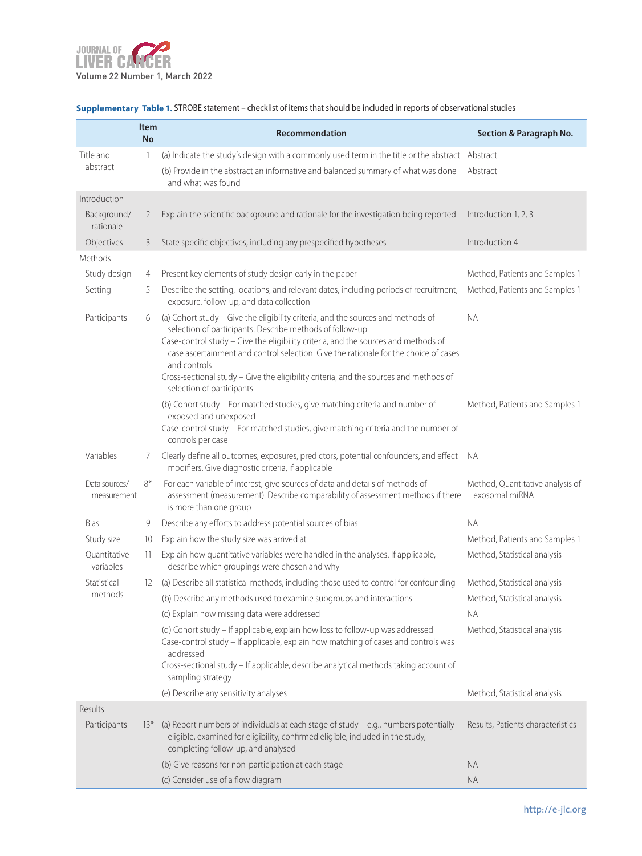|                              | <b>Item</b><br><b>No</b> | Recommendation                                                                                                                                                                                                                                                                                                                                                                                                                                                   | <b>Section &amp; Paragraph No.</b>                 |
|------------------------------|--------------------------|------------------------------------------------------------------------------------------------------------------------------------------------------------------------------------------------------------------------------------------------------------------------------------------------------------------------------------------------------------------------------------------------------------------------------------------------------------------|----------------------------------------------------|
| Title and<br>abstract        | 1                        | (a) Indicate the study's design with a commonly used term in the title or the abstract Abstract<br>(b) Provide in the abstract an informative and balanced summary of what was done<br>and what was found                                                                                                                                                                                                                                                        | Abstract                                           |
| Introduction                 |                          |                                                                                                                                                                                                                                                                                                                                                                                                                                                                  |                                                    |
| Background/<br>rationale     | 2                        | Explain the scientific background and rationale for the investigation being reported                                                                                                                                                                                                                                                                                                                                                                             | Introduction 1, 2, 3                               |
| Objectives                   | 3                        | State specific objectives, including any prespecified hypotheses                                                                                                                                                                                                                                                                                                                                                                                                 | Introduction 4                                     |
| <b>Methods</b>               |                          |                                                                                                                                                                                                                                                                                                                                                                                                                                                                  |                                                    |
| Study design                 | 4                        | Present key elements of study design early in the paper                                                                                                                                                                                                                                                                                                                                                                                                          | Method, Patients and Samples 1                     |
| Setting                      | 5                        | Describe the setting, locations, and relevant dates, including periods of recruitment,<br>exposure, follow-up, and data collection                                                                                                                                                                                                                                                                                                                               | Method, Patients and Samples 1                     |
| Participants                 | 6                        | (a) Cohort study - Give the eligibility criteria, and the sources and methods of<br>selection of participants. Describe methods of follow-up<br>Case-control study - Give the eligibility criteria, and the sources and methods of<br>case ascertainment and control selection. Give the rationale for the choice of cases<br>and controls<br>Cross-sectional study - Give the eligibility criteria, and the sources and methods of<br>selection of participants | <b>NA</b>                                          |
|                              |                          | (b) Cohort study - For matched studies, give matching criteria and number of<br>exposed and unexposed<br>Case-control study - For matched studies, give matching criteria and the number of<br>controls per case                                                                                                                                                                                                                                                 | Method, Patients and Samples 1                     |
| Variables                    | 7                        | Clearly define all outcomes, exposures, predictors, potential confounders, and effect NA<br>modifiers. Give diagnostic criteria, if applicable                                                                                                                                                                                                                                                                                                                   |                                                    |
| Data sources/<br>measurement | 8*                       | For each variable of interest, give sources of data and details of methods of<br>assessment (measurement). Describe comparability of assessment methods if there<br>is more than one group                                                                                                                                                                                                                                                                       | Method, Quantitative analysis of<br>exosomal miRNA |
| Bias                         | 9                        | Describe any efforts to address potential sources of bias                                                                                                                                                                                                                                                                                                                                                                                                        | <b>NA</b>                                          |
| Study size                   | 10                       | Explain how the study size was arrived at                                                                                                                                                                                                                                                                                                                                                                                                                        | Method, Patients and Samples 1                     |
| Ouantitative<br>variables    | 11                       | Explain how quantitative variables were handled in the analyses. If applicable,<br>describe which groupings were chosen and why                                                                                                                                                                                                                                                                                                                                  | Method, Statistical analysis                       |
| Statistical                  | 12                       | (a) Describe all statistical methods, including those used to control for confounding                                                                                                                                                                                                                                                                                                                                                                            | Method, Statistical analysis                       |
| methods                      |                          | (b) Describe any methods used to examine subgroups and interactions                                                                                                                                                                                                                                                                                                                                                                                              | Method, Statistical analysis                       |
|                              |                          | (c) Explain how missing data were addressed                                                                                                                                                                                                                                                                                                                                                                                                                      | <b>NA</b>                                          |
|                              |                          | (d) Cohort study - If applicable, explain how loss to follow-up was addressed<br>Case-control study - If applicable, explain how matching of cases and controls was<br>addressed<br>Cross-sectional study - If applicable, describe analytical methods taking account of<br>sampling strategy                                                                                                                                                                    | Method, Statistical analysis                       |
|                              |                          | (e) Describe any sensitivity analyses                                                                                                                                                                                                                                                                                                                                                                                                                            | Method, Statistical analysis                       |
| Results                      |                          |                                                                                                                                                                                                                                                                                                                                                                                                                                                                  |                                                    |
| Participants                 | $13*$                    | (a) Report numbers of individuals at each stage of study $-$ e.g., numbers potentially<br>eligible, examined for eligibility, confirmed eligible, included in the study,<br>completing follow-up, and analysed                                                                                                                                                                                                                                                   | Results, Patients characteristics                  |
|                              |                          | (b) Give reasons for non-participation at each stage                                                                                                                                                                                                                                                                                                                                                                                                             | <b>NA</b>                                          |
|                              |                          | (c) Consider use of a flow diagram                                                                                                                                                                                                                                                                                                                                                                                                                               | <b>NA</b>                                          |

## **Supplementary Table 1.** STROBE statement – checklist of items that should be included in reports of observational studies